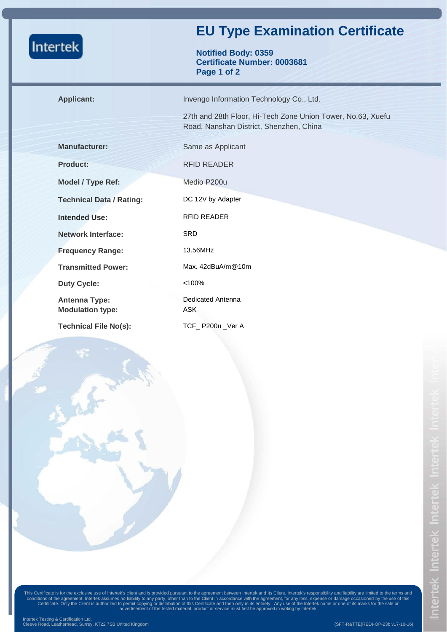| <b>Intertek</b> |                                                 | <b>EU Type Examination Certificate</b>                                                                 |  |  |
|-----------------|-------------------------------------------------|--------------------------------------------------------------------------------------------------------|--|--|
|                 |                                                 | <b>Notified Body: 0359</b><br><b>Certificate Number: 0003681</b><br>Page 1 of 2                        |  |  |
|                 | <b>Applicant:</b>                               | Invengo Information Technology Co., Ltd.                                                               |  |  |
|                 |                                                 | 27th and 28th Floor, Hi-Tech Zone Union Tower, No.63, Xuefu<br>Road, Nanshan District, Shenzhen, China |  |  |
|                 | <b>Manufacturer:</b>                            | Same as Applicant                                                                                      |  |  |
|                 | <b>Product:</b>                                 | <b>RFID READER</b>                                                                                     |  |  |
|                 | Model / Type Ref:                               | Medio P200u                                                                                            |  |  |
|                 | <b>Technical Data / Rating:</b>                 | DC 12V by Adapter                                                                                      |  |  |
|                 | <b>Intended Use:</b>                            | <b>RFID READER</b>                                                                                     |  |  |
|                 | <b>Network Interface:</b>                       | <b>SRD</b>                                                                                             |  |  |
|                 | <b>Frequency Range:</b>                         | 13.56MHz                                                                                               |  |  |
|                 | <b>Transmitted Power:</b>                       | Max. $42$ dBuA/m $@10$ m                                                                               |  |  |
|                 | <b>Duty Cycle:</b>                              | < 100%                                                                                                 |  |  |
|                 | <b>Antenna Type:</b><br><b>Modulation type:</b> | Dedicated Antenna<br><b>ASK</b>                                                                        |  |  |
|                 | <b>Technical File No(s):</b>                    | TCF_P200u_Ver A                                                                                        |  |  |

This Certificate is for the exclusive use of Intertek's client and is provided pursuant to the agreement between Intertek and its Client. Intertek's responsibility and liability are limited to the terms and<br>conditions of t